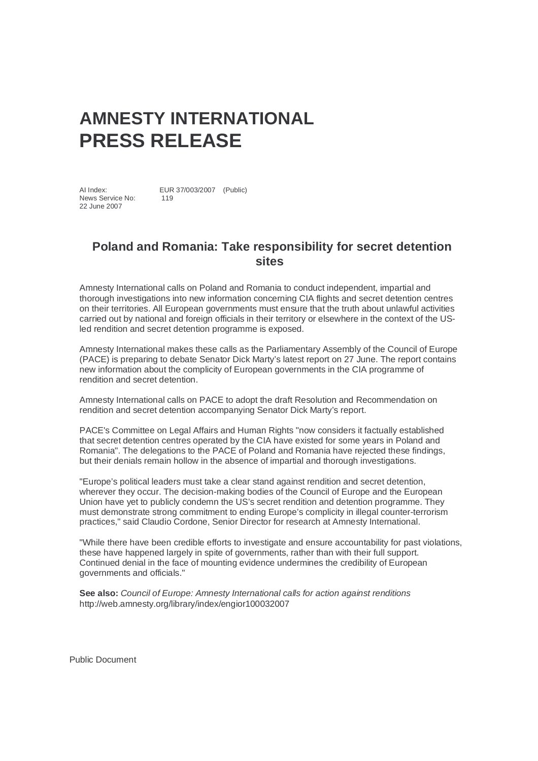## **AMNESTY INTERNATIONAL PRESS RELEASE**

AI Index: EUR 37/003/2007 (Public) News Service No: 119 22 June 2007

## **Poland and Romania: Take responsibility for secret detention sites**

Amnesty International calls on Poland and Romania to conduct independent, impartial and thorough investigations into new information concerning CIA flights and secret detention centres on their territories. All European governments must ensure that the truth about unlawful activities carried out by national and foreign officials in their territory or elsewhere in the context of the USled rendition and secret detention programme is exposed.

Amnesty International makes these calls as the Parliamentary Assembly of the Council of Europe (PACE) is preparing to debate Senator Dick Marty's latest report on 27 June. The report contains new information about the complicity of European governments in the CIA programme of rendition and secret detention.

Amnesty International calls on PACE to adopt the draft Resolution and Recommendation on rendition and secret detention accompanying Senator Dick Marty's report.

PACE's Committee on Legal Affairs and Human Rights "now considers it factually established that secret detention centres operated by the CIA have existed for some years in Poland and Romania". The delegations to the PACE of Poland and Romania have rejected these findings, but their denials remain hollow in the absence of impartial and thorough investigations.

"Europe's political leaders must take a clear stand against rendition and secret detention, wherever they occur. The decision-making bodies of the Council of Europe and the European Union have yet to publicly condemn the US's secret rendition and detention programme. They must demonstrate strong commitment to ending Europe's complicity in illegal counter-terrorism practices," said Claudio Cordone, Senior Director for research at Amnesty International.

"While there have been credible efforts to investigate and ensure accountability for past violations, these have happened largely in spite of governments, rather than with their full support. Continued denial in the face of mounting evidence undermines the credibility of European governments and officials."

**See also:** Council of Europe: Amnesty International calls for action against renditions http://web.amnesty.org/library/index/engior100032007

Public Document